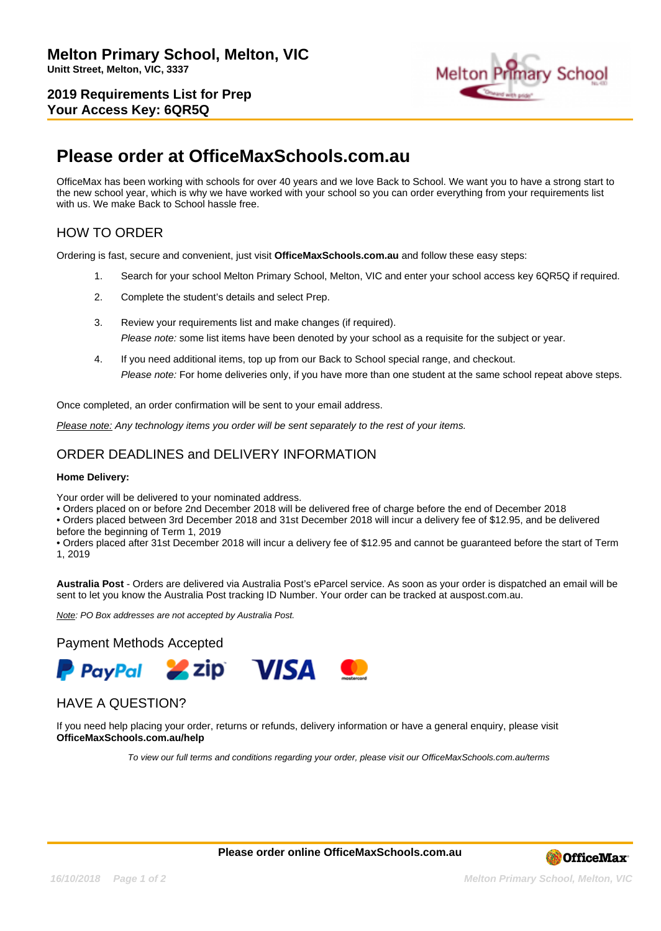**2019 Requirements List for Prep Your Access Key: 6QR5Q**



## **Please order at OfficeMaxSchools.com.au**

OfficeMax has been working with schools for over 40 years and we love Back to School. We want you to have a strong start to the new school year, which is why we have worked with your school so you can order everything from your requirements list with us. We make Back to School hassle free.

## HOW TO ORDER

Ordering is fast, secure and convenient, just visit **OfficeMaxSchools.com.au** and follow these easy steps:

- 1. Search for your school Melton Primary School, Melton, VIC and enter your school access key 6QR5Q if required.
- 2. Complete the student's details and select Prep.
- 3. Review your requirements list and make changes (if required). Please note: some list items have been denoted by your school as a requisite for the subject or year.
- 4. If you need additional items, top up from our Back to School special range, and checkout. Please note: For home deliveries only, if you have more than one student at the same school repeat above steps.

Once completed, an order confirmation will be sent to your email address.

Please note: Any technology items you order will be sent separately to the rest of your items.

## ORDER DEADLINES and DELIVERY INFORMATION

#### **Home Delivery:**

Your order will be delivered to your nominated address.

• Orders placed on or before 2nd December 2018 will be delivered free of charge before the end of December 2018

• Orders placed between 3rd December 2018 and 31st December 2018 will incur a delivery fee of \$12.95, and be delivered before the beginning of Term 1, 2019

• Orders placed after 31st December 2018 will incur a delivery fee of \$12.95 and cannot be guaranteed before the start of Term 1, 2019

**Australia Post** - Orders are delivered via Australia Post's eParcel service. As soon as your order is dispatched an email will be sent to let you know the Australia Post tracking ID Number. Your order can be tracked at auspost.com.au.

Note: PO Box addresses are not accepted by Australia Post.

#### Payment Methods Accepted



## HAVE A QUESTION?

If you need help placing your order, returns or refunds, delivery information or have a general enquiry, please visit **OfficeMaxSchools.com.au/help**

To view our full terms and conditions regarding your order, please visit our OfficeMaxSchools.com.au/terms

**Please order online OfficeMaxSchools.com.au**



**16/10/2018 Page 1 of 2 Melton Primary School, Melton, VIC**